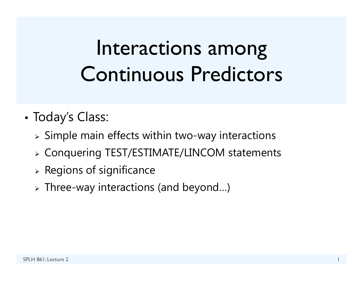# Interactions among Continuous Predictors

- • Today's Class:
	- $\triangleright$  Simple main effects within two-way interactions
	- Conquering TEST/ESTIMATE/LINCOM statements
	- $\triangleright$  Regions of significance
	- $\triangleright$  Three-way interactions (and beyond...)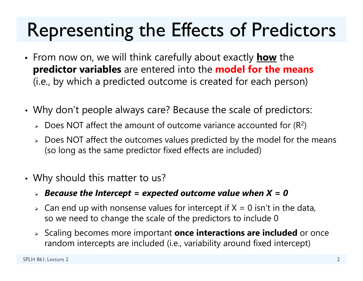## Representing the Effects of Predictors

- From now on, we will think carefully about exactly **how** the **predictor variables** are entered into the **model for the means**  (i.e., by which a predicted outcome is created for each person)
- • Why don't people always care? Because the scale of predictors:
	- $\triangleright$  Does NOT affect the amount of outcome variance accounted for (R<sup>2</sup>)
	- $\triangleright\;$  Does NOT affect the outcomes values predicted by the model for the means (so long as the same predictor fixed effects are included)
- • Why should this matter to us?
	- *Because the Intercept = expected outcome value when X = 0*
	- $\triangleright$  Can end up with nonsense values for intercept if X = 0 isn't in the data, so we need to change the scale of the predictors to include 0
	- Scaling becomes more important **once interactions are included** or once random intercepts are included (i.e., variability around fixed intercept)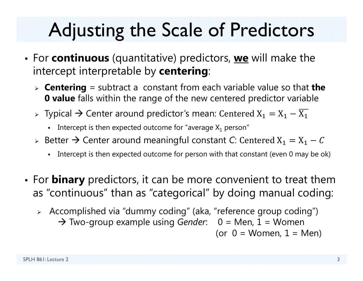# Adjusting the Scale of Predictors

- For **continuous** (quantitative) predictors, **we** will make the intercept interpretable by **centering**:
	- **Centering** = subtract a constant from each variable value so that **the 0 value** falls within the range of the new centered predictor variable
	- $\triangleright$  Typical  $\rightarrow$  Center around predictor's mean: Centered  $\mathrm{X}_1 = \mathrm{X}_1 \mathrm{X}_1$ 
		- Intercept is then expected outcome for "average  $\mathsf{X}_1$  person"
	- $\triangleright$  Better  $\rightarrow$  Center around meaningful constant C: Centered  $\text{X}_\text{1}=\text{X}_\text{1}-\text{\emph{C}}$ 
		- n Intercept is then expected outcome for person with that constant (even 0 may be ok)
- For **binary** predictors, it can be more convenient to treat them as "continuous" than as "categorical" by doing manual coding:
	- Accomplished via "dummy coding" (aka, "reference group coding") → Two-group example using *Gender*: 0 = Men, 1 = Women (or  $0 =$  Women,  $1 =$  Men)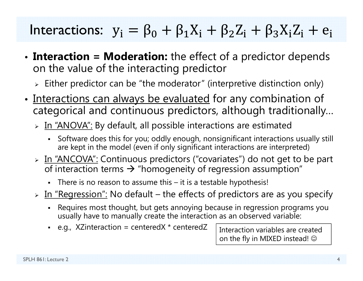#### Interactions:  ${\rm y_i} = {\rm \beta_0} + {\rm \beta_1X_i} + {\rm \beta_2Z_i} + {\rm \beta_3X_iZ_i} + {\rm e_i}$

- • **Interaction = Moderation:** the effect of a predictor depends on the value of the interacting predictor
	- $\triangleright$  Either predictor can be "the moderator" (interpretive distinction only)
- •• Interactions can always be evaluated for any combination of categorical and continuous predictors, although traditionally…
	- > In "ANOVA": By default, all possible interactions are estimated
		- n Software does this for you; oddly enough, nonsignificant interactions usually still are kept in the model (even if only significant interactions are interpreted)
	- > In "ANCOVA": Continuous predictors ("covariates") do not get to be part of interaction terms  $\bm{\rightarrow}$  "homogeneity of regression assumption"
		- There is no reason to assume this it is a testable hypothesis!
	- > In "Regression": No default the effects of predictors are as you specify
		- n Requires most thought, but gets annoying because in regression programs you usually have to manually create the interaction as an observed variable:
		- n e.g., XZinteraction = centeredX \* centeredZ

Interaction variables are created on the fly in MIXED instead!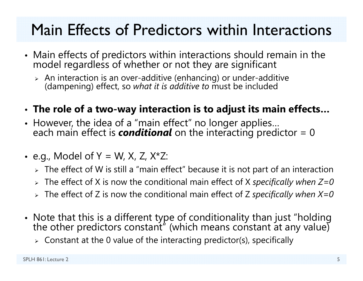#### Main Effects of Predictors within Interactions

- Main effects of predictors within interactions should remain in the model regardless of whether or not they are significant
	- $\triangleright$  An interaction is an over-additive (enhancing) or under-additive (dampening) effect, so *what it is additive to* must be included
- **The role of a two-way interaction is to adjust its main effects…**
- However, the idea of a "main effect" no longer applies… each main effect is *conditional* on the interacting predictor = 0
- e.g., Model of Y = W, X, Z, X\*Z:
	- $\triangleright\;$  The effect of W is still a "main effect" because it is not part of an interaction
	- The effect of X is now the conditional main effect of X *specifically when Z=0*
	- The effect of Z is now the conditional main effect of Z *specifically when X=0*
- Note that this is a different type of conditionality than just "holding the other predictors constant" (which means constant at any value)
	- $\triangleright$  Constant at the 0 value of the interacting predictor(s), specifically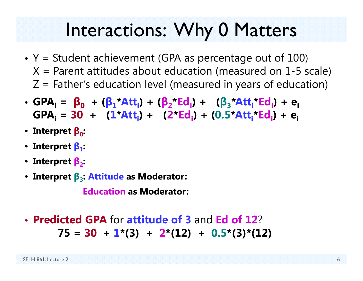#### Interactions: Why 0 Matters

- Y = Student achievement (GPA as percentage out of 100)  $X$  = Parent attitudes about education (measured on 1-5 scale)  $Z$  = Father's education level (measured in years of education)
- GPA<sub>i</sub> =  $\beta_0$  + ( $\beta_1^*$ Att<sub>i</sub>) + ( $\beta_2^*$ Ed<sub>i</sub>) + ( $\beta_3^*$ Att<sub>i</sub>\*Ed<sub>i</sub>) + e<sub>i</sub> **GPAi = 30 + ( 1 \*Atti) + ( 2 \*Edi) + (0.5 \*Atti\*Edi) + ei**
- **Interpret β 0:**
- **Interpret β 1:**
- **Interpret β <sup>2</sup>:**
- **Interpret β <sup>3</sup>: Attitude as Moderator:**

**Education as Moderator:**

• **Predicted GPA** for **attitude of 3** and **Ed of 12** ?**75 = 30 + 1\*(3) + 2\*(12) + 0.5\*(3)\*(12)**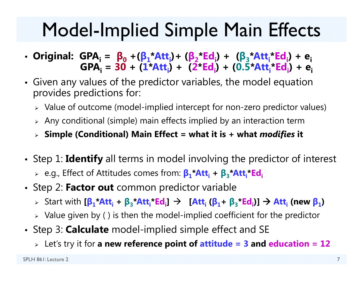## Model-Implied Simple Main Effects

- **Original: GPAi <sup>=</sup> β 0 +( β 1\*Atti)+ ( β 2\*Edi) + ( β 3\*Atti\*Edi) + eiGPAi = 30 + ( 1 \*Atti) + ( 2 \*Edi) + (0.5 \*Atti\*Edi) + ei**
- Given any values of the predictor variables, the model equation provides predictions for:
	- $\triangleright$   $\,$  Value of outcome (model-implied intercept for non-zero predictor values)
	- $\triangleright$  Any conditional (simple) main effects implied by an interaction term
	- **Simple (Conditional) Main Effect = what it is + what** *modifies* **it**
- Step 1: **Identify** all terms in model involving the predictor of interest
	- e.g., Effect of Attitudes comes from: **β 1\*Atti <sup>+</sup> β 3\*Atti\*Edi**
- Step 2: **Factor out** common predictor variable
	- > Start with [β<sub>1</sub>\*Att<sub>i</sub> + β<sub>3</sub>\*Att<sub>i</sub>\*Ed<sub>i</sub>] → [Att<sub>i</sub> (β<sub>1</sub>+ β<sub>3</sub>\*Ed<sub>i</sub>)] → Att<sub>i</sub> (new β<sub>1</sub>)
	- $\triangleright$  Value given by ( ) is then the model-implied coefficient for the predictor
- Step 3: **Calculate** model-implied simple effect and SE
	- Let's try it for **a new reference point of attitude = 3 and education = 12**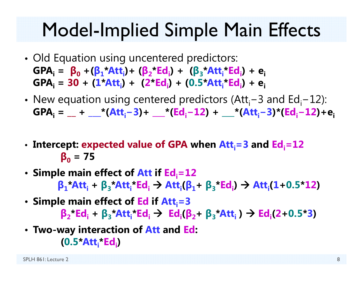## Model-Implied Simple Main Effects

- Old Equation using uncentered predictors:  $GPA_i = \beta_0 + (\beta_1 * Att_i) + (\beta_2 * Ed_i) + (\beta_3 * Att_i * Ed_i) + e_i$ **GPAi = 30 + ( 1 \*Atti) + ( 2 \*Edi) + (0.5 \*Atti\*Edi) + ei**
- New equation using centered predictors (Att<sub>i</sub>−3 and Ed<sub>i</sub>−12): **GPAi = \_\_ + \_\_\_\*(Atti − 3)+ \_\_\_\*(Edi<sup>−</sup>12) + \_\_\_\*(Atti− 3)\*(Edi−12)+ei**
- Intercept: expected value of GPA when Att<sub>i</sub>=3 and Ed<sub>i</sub>=12 **β 0 = 75**
- Simple main effect of Att if Ed<sub>i</sub>=12  $\beta_1$ **\*Att**<sub>i</sub> +  $\beta_3$ **\*Att**<sub>i</sub>**\*Ed**<sub>i</sub>  $\rightarrow$  Att<sub>i</sub>( $\beta_1$ +  $\beta_3$ **\*Ed**<sub>i</sub>)  $\rightarrow$  Att<sub>i</sub>(1+0.5**\*12**)
- Simple main effect of Ed if Att<sub>i</sub>=3  $\beta_2$ **\*Ed**<sub>i</sub> +  $\beta_3$ **\*Att**<sub>i</sub>**\*Ed**<sub>i</sub>  $\rightarrow$  Ed<sub>i</sub>( $\beta_2$ +  $\beta_3$ **\*Att**<sub>i</sub>)  $\rightarrow$  Ed<sub>i</sub>(2+0.5 **\*3 )**
- **Two-way interaction of Att and Ed: (0.5 \*Atti\*Edi)**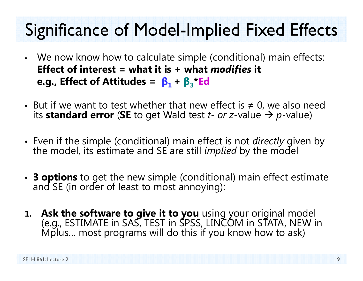## Significance of Model-Implied Fixed Effects

- • We now know how to calculate simple (conditional) main effects: **Effect of interest = what it is + what** *modifies* **it e.g., Effect of Attitudes =**  $\beta_1 + \beta_3$ **\*Ed**
- But if we want to test whether that new effect is  $\neq$  0, we also need its **standard error**  (**SE** to get Wald test *t- or z*-value *p*-value)
- Even if the simple (conditional) main effect is not *directly* given by the model, its estimate and SE are still *implied* by the model
- **3 options** to get the new simple (conditional) main effect estimate and SE (in order of least to most annoying):
- **1. Ask the software to give it to you** using your original model (e.g., ESTIMATE in SAS, TEST in SPSS, LINCOM in STATA, NEW in Mplus… most programs will do this if you know how to ask)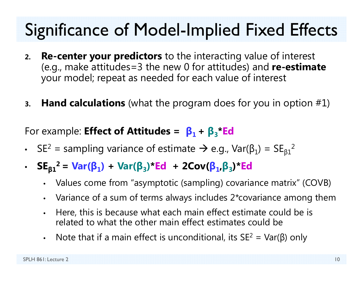### Significance of Model-Implied Fixed Effects

- **2. Re-center your predictors** to the interacting value of interest (e.g., make attitudes=3 the new 0 for attitudes) and **re-estimate** your model; repeat as needed for each value of interest
- **3.Hand calculations** (what the program does for you in option #1)

#### For example: **Effect of Attitudes = β1 + β 3\*Ed**

- SE  $^2$  = sampling variance of estimate  $\rightarrow$  e.g., Var(β<sub>1</sub>) = SE<sub>β1</sub> 2
- **SE β 1**<sup>2</sup> = Var(β<sub>1</sub>) + Var(β<sub>3</sub>)\*Ed + 2Cov(β<sub>1</sub>,β<sub>3</sub>)\*Ed
	- Values come from "asymptotic (sampling) covariance matrix" (COVB)
	- Variance of a sum of terms always includes 2\*covariance among them
	- • Here, this is because what each main effect estimate could be is related to what the other main effect estimates could be
	- Note that if a main effect is unconditional, its SE<sup>2</sup> = Var( $\beta$ ) only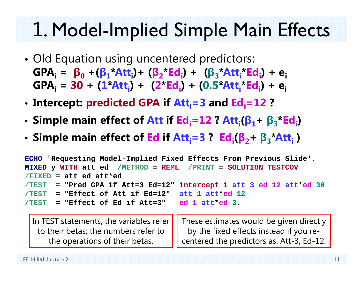# 1. Model-Implied Simple Main Effects

- • Old Equation using uncentered predictors:  $GPA_i = \beta_0 + (\beta_1 * Att_i) + (\beta_2 * Ed_i) + (\beta_3 * Att_i * Ed_i) + e_i$ **GPAi = 30 + (1\*Atti) + (2\*Edi) + (0.5\*Atti\*Edi) + ei**
- •• Intercept: predicted GPA if Att<sub>i</sub>=3 and Ed<sub>i</sub>=12 **?**
- •**Simple main effect of Att if Edi=12 ? Atti(β1<sup>+</sup>β3\*Edi)**
- **Simple main effect of Ed if Atti=3 ? Edi(β2<sup>+</sup>β3\*Atti )**

| ECHO 'Requesting Model-Implied Fixed Effects From Previous Slide'.  |  |  |  |
|---------------------------------------------------------------------|--|--|--|
| MIXED y WITH att ed / METHOD = REML / PRINT = SOLUTION TESTCOV      |  |  |  |
| $/FIXED = att ed att*ed$                                            |  |  |  |
| /TEST = "Pred GPA if Att=3 Ed=12" intercept 1 att 3 ed 12 att*ed 36 |  |  |  |
| $/TEST$ = "Effect of Att if Ed=12" att 1 att*ed 12                  |  |  |  |
| $/TEST$ = "Effect of Ed if Att=3" ed 1 att*ed 3.                    |  |  |  |
|                                                                     |  |  |  |

In TEST statements, the variables refer to their betas; the numbers refer to the operations of their betas. These estimates would be given directly by the fixed effects instead if you recentered the predictors as: Att-3, Ed-12.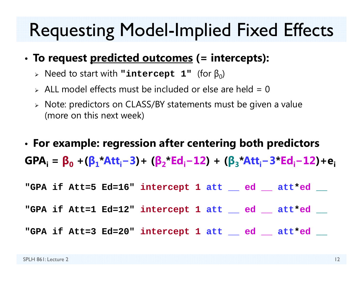#### Requesting Model-Implied Fixed Effects

- **To request predicted outcomes (= intercepts):**
	- $\triangleright$  Need to start with <code>"intercept 1"</code> (for  $\beta_0$ )
	- $\ge$  ALL model effects must be included or else are held = 0
	- Note: predictors on CLASS/BY statements must be given a value (more on this next week)
- • **For example: regression after centering both predictors GPAi <sup>=</sup> β 0 +( β 1\*Atti− 3)+ ( β 2\*Edi<sup>−</sup>12) + ( β 3\*Atti− 3 \*Edi−12)+ei**
- **"GPA if Att=5 Ed=16" intercept 1 att \_\_ ed \_\_ att \*ed \_\_**

**"GPA if Att=1 Ed=12" intercept 1 att \_\_ ed \_\_ att \*ed \_\_**

**"GPA if Att=3 Ed=20" intercept 1 att \_\_ ed \_\_ att \*ed \_\_**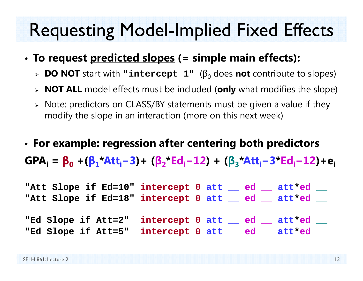#### Requesting Model-Implied Fixed Effects

- • **To request predicted slopes (= simple main effects):**
	- **DO NOT** start with **"intercept 1"** (β 0 does **not** contribute to slopes)
	- **NOT ALL** model effects must be included (**only** what modifies the slope)
	- Note: predictors on CLASS/BY statements must be given a value if they modify the slope in an interaction (more on this next week)
- • **For example: regression after centering both predictors GPAi <sup>=</sup> β 0 +( β 1\*Atti− 3)+ ( β 2\*Edi<sup>−</sup>12) + ( β 3\*Atti− 3 \*Edi−12)+ei**

| "Att Slope if Ed=10" intercept 0 att __ ed __ att*ed __ |  |  |
|---------------------------------------------------------|--|--|
| "Att Slope if Ed=18" intercept 0 att ad att*ed          |  |  |
|                                                         |  |  |
| "Ed Slope if Att=2" intercept 0 att __ ed __ att*ed __  |  |  |
| "Ed Slope if Att=5" intercept 0 att __ ed __ att*ed __  |  |  |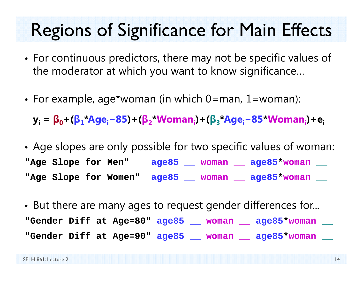#### Regions of Significance for Main Effects

- • For continuous predictors, there may not be specific values of the moderator at which you want to know significance…
- For example, age\*woman (in which 0=man, 1=woman):

**yi <sup>=</sup> β <sup>0</sup>+( β 1\*Agei<sup>−</sup>85)+( β 2\*Womani)+( β 3\*Agei−85 \*Womani)+ei**

- • Age slopes are only possible for two specific values of woman: **"Age Slope for Men" age85 \_\_ woman \_\_ age85 \*woman \_\_ "Age Slope for Women" age85 \_\_ woman \_\_ age85 \*woman \_\_**
- • But there are many ages to request gender differences for... **"Gender Diff at Age=80" age85 \_\_ woman \_\_ age85 \*woman \_\_ "Gender Diff at Age=90" age85 \_\_ woman \_\_ age85 \*woman \_\_**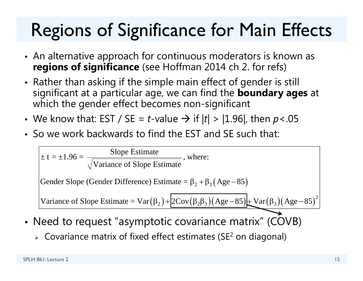## Regions of Significance for Main Effects

- An alternative approach for continuous moderators is known as **regions of significance** (see Hoffman 2014 ch 2. for refs)
- Rather than asking if the simple main effect of gender is still significant at a particular age, we can find the **boundary ages** at which the gender effect becomes non-significant
- We know that: EST / SE = *t*-value → if  $|t|$  >  $|1.96|$ , then  $p$ <.05
- So we work backwards to find the EST and SE such that:

$$
\pm t = \pm 1.96 = \frac{\text{Slope Estimate}}{\sqrt{\text{Variance of Slope Estimate}}}, \text{where:}
$$
\n
$$
\text{Gender Slope (Gender Difference)} \text{Estimate} = \beta_2 + \beta_3 (\text{Age} - 85)
$$
\n
$$
\text{Variance of Slope Estimate} = \text{Var}(\beta_2) + 2\text{Cov}(\beta_2 \beta_3) (\text{Age} - 85) + \text{Var}(\beta_3) (\text{Age} - 85)^2
$$

- Need to request "asymptotic covariance matrix" (COVB)
	- $\triangleright\;$  Covariance matrix of fixed effect estimates (SE<sup>2</sup> on diagonal)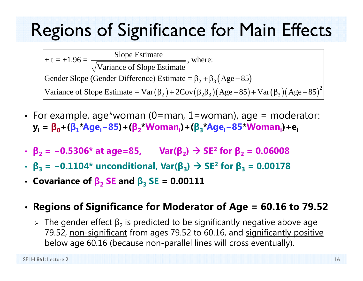## Regions of Significance for Main Effects

Gender Slope (Gender Difference) Estimate =  $\beta_2 + \beta_3$  (Age – 85) Variance of Slope Estimate =  $Var(\beta_2) + 2Cov(\beta_2\beta_3)(Age-85) + Var(\beta_3)(Age-85)^2$  $\pm t = \pm 1.96 = \frac{\text{Slope Estimate}}{\text{Slope Estimate}}$ , where: Variance of Slope Estimate

- For example, age\*woman (0=man, 1=woman), age = moderator: **yi <sup>=</sup> β <sup>0</sup>+( β 1\*Agei<sup>−</sup>85)+( β 2\*Womani)+( β 3\*Agei−85 \*Womani)+ei**
- **β 2 <sup>=</sup> <sup>−</sup>0.5306\* at age=85, Var( β 2) SE 2 for β 2 = 0.06008**
- **β 3 <sup>=</sup> <sup>−</sup>0.1104\* unconditional, Var( β 3) SE 2 for β 3 = 0.00178**
- $\bullet$  Covariance of  $\boldsymbol{\beta}_2$  SE and  $\boldsymbol{\beta}_3$  SE = 0.00111

#### • **Regions of Significance for Moderator of Age = 60.16 to 79.52**

> The gender effect  $\beta_2$  is predicted to be <u>significantly negative</u> above age 79.52, non-significant from ages 79.52 to 60.16, and significantly positive below age 60.16 (because non-parallel lines will cross eventually).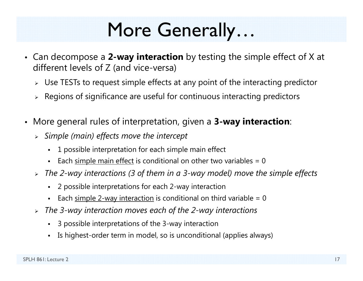## More Generally…

- Can decompose a **2-way interaction** by testing the simple effect of X at different levels of Z (and vice-versa)
	- $\triangleright$  Use TESTs to request simple effects at any point of the interacting predictor
	- $\triangleright$   $\,$  Regions of significance are useful for continuous interacting predictors
- $\bullet$  More general rules of interpretation, given a **3-way interaction**:
	- *Simple (main) effects move the intercept*
		- n 1 possible interpretation for each simple main effect
		- n Each simple main effect is conditional on other two variables =  $0$
	- *The 2-way interactions (3 of them in a 3-way model) move the simple effects*
		- n 2 possible interpretations for each 2-way interaction
		- n Each simple 2-way interaction is conditional on third variable  $= 0$
	- *The 3-way interaction moves each of the 2-way interactions*
		- n 3 possible interpretations of the 3-way interaction
		- n Is highest-order term in model, so is unconditional (applies always)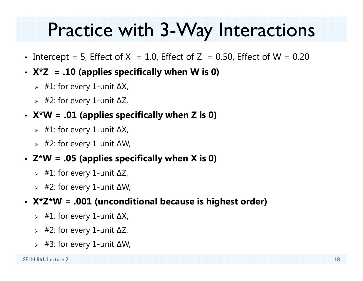#### Practice with 3-Way Interactions

- Intercept = 5, Effect of X  $= 1.0$ , Effect of Z  $= 0.50$ , Effect of W  $= 0.20$
- **X\*Z = .10 (applies specifically when W is 0)**
	- #1: for every 1-unit ∆X,
	- #2: for every 1-unit ∆Z,
- **X\*W = .01 (applies specifically when Z is 0)**
	- #1: for every 1-unit ∆X,
	- #2: for every 1-unit ∆W,
- **Z\*W = .05 (applies specifically when X is 0)**
	- #1: for every 1-unit ∆Z,
	- #2: for every 1-unit ∆W,
- **X\*Z\*W = .001 (unconditional because is highest order)**
	- #1: for every 1-unit ∆X,
	- #2: for every 1-unit ∆Z,
	- #3: for every 1-unit ∆W,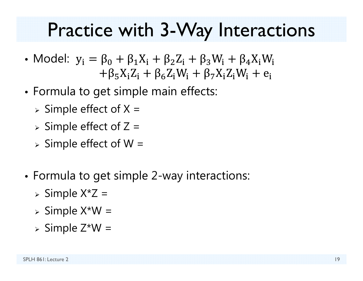#### Practice with 3-Way Interactions

- •• Model:  $y_i = \beta_0 + \beta_1 X_i + \beta_2 Z_i + \beta_3 W_i + \beta_4 X_i W_i$  $(5\Lambda_1 L_i$  T  $P_6 L_i$  VV<sub>I</sub> T  $P_7 \Lambda_1 L_i$  VV<sub>I</sub> T  $e_i$
- • Formula to get simple main effects:
	- $>$  Simple effect of X =
	- $>$  Simple effect of Z =
	- $>$  Simple effect of W =
- • Formula to get simple 2-way interactions:
	- $\triangleright$  Simple X\*Z =
	- $>$  Simple X\*W =
	- $>$  Simple Z\*W =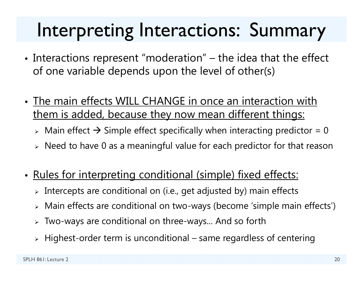## Interpreting Interactions: Summary

- • $\bullet$  Interactions represent "moderation" – the idea that the effect of one variable depends upon the level of other(s)
- The main effects WILL CHANGE in once an interaction with them is added, because they now mean different things:
	- $\triangleright$  Main effect  $\rightarrow$  Simple effect specifically when interacting predictor = 0
	- $\triangleright$   $\,$  Need to have 0 as a meaningful value for each predictor for that reason
- $\bullet$ Rules for interpreting conditional (simple) fixed effects:
	- $\triangleright$  Intercepts are conditional on (i.e., get adjusted by) main effects
	- Main effects are conditional on two-ways (become 'simple main effects')
	- Two-ways are conditional on three-ways... And so forth
	- $\triangleright$  Highest-order term is unconditional same regardless of centering